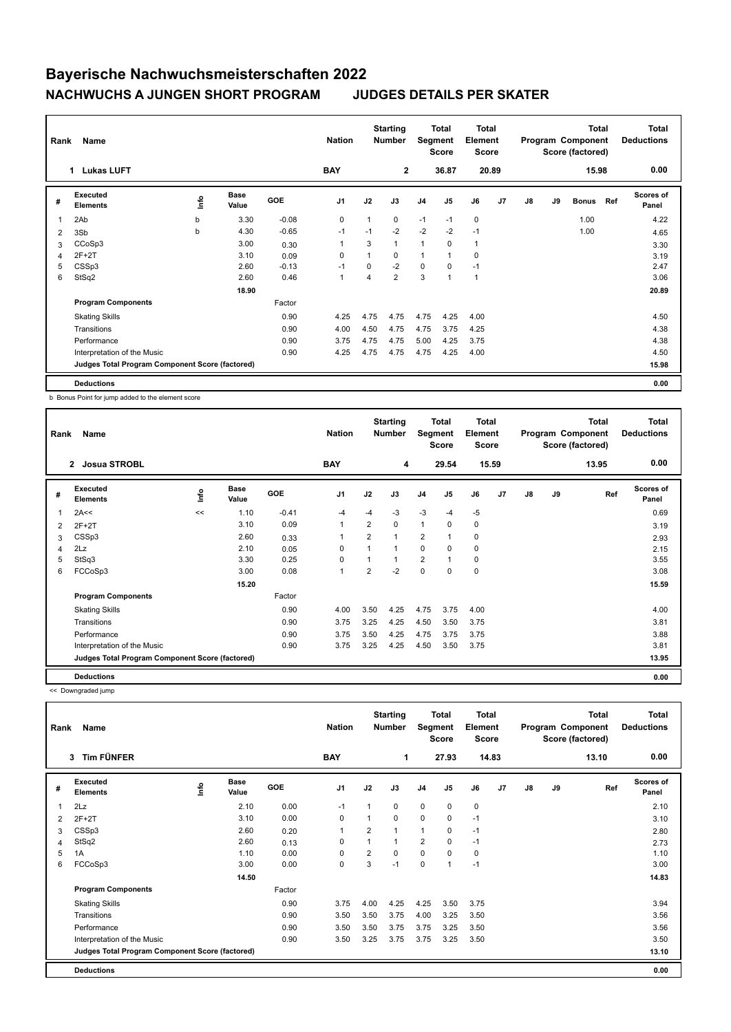## **Bayerische Nachwuchsmeisterschaften 2022 NACHWUCHS A JUNGEN SHORT PROGRAM JUDGES DETAILS PER SKATER**

| Name<br>Rank |                                                 |      |                      |            |                |      | <b>Starting</b><br><b>Number</b> |                | <b>Total</b><br>Total<br>Segment<br>Element<br><b>Score</b><br><b>Score</b> |       |                | <b>Total</b><br>Program Component<br>Score (factored) |    |              |      | <b>Total</b><br><b>Deductions</b> |
|--------------|-------------------------------------------------|------|----------------------|------------|----------------|------|----------------------------------|----------------|-----------------------------------------------------------------------------|-------|----------------|-------------------------------------------------------|----|--------------|------|-----------------------------------|
|              | <b>Lukas LUFT</b><br>1                          |      |                      | <b>BAY</b> | $\mathbf{2}$   |      |                                  | 36.87          |                                                                             | 20.89 |                | 15.98                                                 |    |              | 0.00 |                                   |
| #            | Executed<br><b>Elements</b>                     | ١nfo | <b>Base</b><br>Value | GOE        | J <sub>1</sub> | J2   | J3                               | J <sub>4</sub> | J5                                                                          | J6    | J <sub>7</sub> | J8                                                    | J9 | <b>Bonus</b> | Ref  | Scores of<br>Panel                |
| 1            | 2Ab                                             | b    | 3.30                 | $-0.08$    | 0              | 1    | 0                                | $-1$           | $-1$                                                                        | 0     |                |                                                       |    | 1.00         |      | 4.22                              |
| 2            | 3Sb                                             | b    | 4.30                 | $-0.65$    | $-1$           | $-1$ | $-2$                             | $-2$           | $-2$                                                                        | $-1$  |                |                                                       |    | 1.00         |      | 4.65                              |
| 3            | CCoSp3                                          |      | 3.00                 | 0.30       |                | 3    | 1                                | 1              | 0                                                                           | 1     |                |                                                       |    |              |      | 3.30                              |
| 4            | $2F+2T$                                         |      | 3.10                 | 0.09       | $\mathbf 0$    | 1    | $\Omega$                         | 1              |                                                                             | 0     |                |                                                       |    |              |      | 3.19                              |
| 5            | CSSp3                                           |      | 2.60                 | $-0.13$    | $-1$           | 0    | $-2$                             | $\mathbf 0$    | $\mathbf 0$                                                                 | $-1$  |                |                                                       |    |              |      | 2.47                              |
| 6            | StSq2                                           |      | 2.60                 | 0.46       | $\mathbf{1}$   | 4    | $\overline{2}$                   | 3              |                                                                             | 1     |                |                                                       |    |              |      | 3.06                              |
|              |                                                 |      | 18.90                |            |                |      |                                  |                |                                                                             |       |                |                                                       |    |              |      | 20.89                             |
|              | <b>Program Components</b>                       |      |                      | Factor     |                |      |                                  |                |                                                                             |       |                |                                                       |    |              |      |                                   |
|              | <b>Skating Skills</b>                           |      |                      | 0.90       | 4.25           | 4.75 | 4.75                             | 4.75           | 4.25                                                                        | 4.00  |                |                                                       |    |              |      | 4.50                              |
|              | Transitions                                     |      |                      | 0.90       | 4.00           | 4.50 | 4.75                             | 4.75           | 3.75                                                                        | 4.25  |                |                                                       |    |              |      | 4.38                              |
|              | Performance                                     |      |                      | 0.90       | 3.75           | 4.75 | 4.75                             | 5.00           | 4.25                                                                        | 3.75  |                |                                                       |    |              |      | 4.38                              |
|              | Interpretation of the Music                     |      |                      | 0.90       | 4.25           | 4.75 | 4.75                             | 4.75           | 4.25                                                                        | 4.00  |                |                                                       |    |              |      | 4.50                              |
|              | Judges Total Program Component Score (factored) |      |                      |            |                |      |                                  |                |                                                                             |       |                |                                                       |    |              |      | 15.98                             |
|              | <b>Deductions</b>                               |      |                      |            |                |      |                                  |                |                                                                             |       |                |                                                       |    |              |      | 0.00                              |

b Bonus Point for jump added to the element score

| Rank | Name                                            |      |                      |            | <b>Nation</b>  |                | <b>Starting</b><br><b>Number</b> | Segment        | Total<br><b>Score</b> | <b>Total</b><br>Element<br><b>Score</b> |                |    |    | <b>Total</b><br>Program Component<br>Score (factored) | <b>Total</b><br><b>Deductions</b> |
|------|-------------------------------------------------|------|----------------------|------------|----------------|----------------|----------------------------------|----------------|-----------------------|-----------------------------------------|----------------|----|----|-------------------------------------------------------|-----------------------------------|
|      | <b>Josua STROBL</b><br>$\overline{2}$           |      |                      |            | <b>BAY</b>     |                | 4                                |                | 29.54                 |                                         | 15.59          |    |    | 13.95                                                 | 0.00                              |
| #    | <b>Executed</b><br><b>Elements</b>              | lnfo | <b>Base</b><br>Value | <b>GOE</b> | J <sub>1</sub> | J2             | J3                               | J <sub>4</sub> | J <sub>5</sub>        | J6                                      | J <sub>7</sub> | J8 | J9 | Ref                                                   | <b>Scores of</b><br>Panel         |
| 1    | 2A<<                                            | <<   | 1.10                 | $-0.41$    | -4             | $-4$           | $-3$                             | $-3$           | $-4$                  | $-5$                                    |                |    |    |                                                       | 0.69                              |
| 2    | $2F+2T$                                         |      | 3.10                 | 0.09       | $\mathbf{1}$   | $\overline{2}$ | 0                                | $\mathbf{1}$   | 0                     | 0                                       |                |    |    |                                                       | 3.19                              |
| 3    | CSSp3                                           |      | 2.60                 | 0.33       | 1              | $\overline{2}$ | 1                                | $\overline{2}$ | $\mathbf{1}$          | $\mathbf 0$                             |                |    |    |                                                       | 2.93                              |
| 4    | 2Lz                                             |      | 2.10                 | 0.05       | 0              |                | 1                                | $\Omega$       | $\Omega$              | $\mathbf 0$                             |                |    |    |                                                       | 2.15                              |
| 5    | StSq3                                           |      | 3.30                 | 0.25       | 0              |                | 1                                | $\overline{2}$ | $\overline{1}$        | $\mathbf 0$                             |                |    |    |                                                       | 3.55                              |
| 6    | FCCoSp3                                         |      | 3.00                 | 0.08       | $\mathbf{1}$   | $\overline{2}$ | $-2$                             | $\mathbf 0$    | 0                     | $\mathbf 0$                             |                |    |    |                                                       | 3.08                              |
|      |                                                 |      | 15.20                |            |                |                |                                  |                |                       |                                         |                |    |    |                                                       | 15.59                             |
|      | <b>Program Components</b>                       |      |                      | Factor     |                |                |                                  |                |                       |                                         |                |    |    |                                                       |                                   |
|      | <b>Skating Skills</b>                           |      |                      | 0.90       | 4.00           | 3.50           | 4.25                             | 4.75           | 3.75                  | 4.00                                    |                |    |    |                                                       | 4.00                              |
|      | Transitions                                     |      |                      | 0.90       | 3.75           | 3.25           | 4.25                             | 4.50           | 3.50                  | 3.75                                    |                |    |    |                                                       | 3.81                              |
|      | Performance                                     |      |                      | 0.90       | 3.75           | 3.50           | 4.25                             | 4.75           | 3.75                  | 3.75                                    |                |    |    |                                                       | 3.88                              |
|      | Interpretation of the Music                     |      |                      | 0.90       | 3.75           | 3.25           | 4.25                             | 4.50           | 3.50                  | 3.75                                    |                |    |    |                                                       | 3.81                              |
|      | Judges Total Program Component Score (factored) |      |                      |            |                |                |                                  |                |                       |                                         |                |    |    |                                                       | 13.95                             |
|      | <b>Deductions</b>                               |      |                      |            |                |                |                                  |                |                       |                                         |                |    |    |                                                       | 0.00                              |

<< Downgraded jump

| Name<br>Rank |                                                 |      |                      |        | <b>Nation</b>  |                | <b>Starting</b><br><b>Number</b> | Total<br>Segment<br><b>Score</b> |          |           | <b>Total</b><br>Element<br><b>Score</b> |    |    | <b>Total</b><br>Program Component<br>Score (factored) | Total<br><b>Deductions</b> |
|--------------|-------------------------------------------------|------|----------------------|--------|----------------|----------------|----------------------------------|----------------------------------|----------|-----------|-----------------------------------------|----|----|-------------------------------------------------------|----------------------------|
|              | <b>Tim FÜNFER</b><br>$\mathbf{3}$               |      |                      |        | <b>BAY</b>     |                | 1                                |                                  | 27.93    |           | 14.83                                   |    |    | 13.10                                                 | 0.00                       |
| #            | Executed<br><b>Elements</b>                     | lnfo | <b>Base</b><br>Value | GOE    | J <sub>1</sub> | J2             | J3                               | J <sub>4</sub>                   | J5       | J6        | J7                                      | J8 | J9 | Ref                                                   | <b>Scores of</b><br>Panel  |
|              | 2Lz                                             |      | 2.10                 | 0.00   | $-1$           | 1              | 0                                | $\mathbf 0$                      | 0        | $\pmb{0}$ |                                         |    |    |                                                       | 2.10                       |
| 2            | $2F+2T$                                         |      | 3.10                 | 0.00   | 0              | 1              | $\Omega$                         | $\mathbf 0$                      | 0        | $-1$      |                                         |    |    |                                                       | 3.10                       |
| 3            | CSSp3                                           |      | 2.60                 | 0.20   | $\mathbf{1}$   | $\overline{2}$ | $\overline{1}$                   | $\overline{1}$                   | $\Omega$ | $-1$      |                                         |    |    |                                                       | 2.80                       |
| 4            | StSq2                                           |      | 2.60                 | 0.13   | 0              |                | 1                                | $\overline{2}$                   | 0        | $-1$      |                                         |    |    |                                                       | 2.73                       |
| 5            | 1A                                              |      | 1.10                 | 0.00   | 0              | 2              | 0                                | 0                                | $\Omega$ | 0         |                                         |    |    |                                                       | 1.10                       |
| 6            | FCCoSp3                                         |      | 3.00                 | 0.00   | 0              | 3              | $-1$                             | $\pmb{0}$                        | 1        | $-1$      |                                         |    |    |                                                       | 3.00                       |
|              |                                                 |      | 14.50                |        |                |                |                                  |                                  |          |           |                                         |    |    |                                                       | 14.83                      |
|              | <b>Program Components</b>                       |      |                      | Factor |                |                |                                  |                                  |          |           |                                         |    |    |                                                       |                            |
|              | <b>Skating Skills</b>                           |      |                      | 0.90   | 3.75           | 4.00           | 4.25                             | 4.25                             | 3.50     | 3.75      |                                         |    |    |                                                       | 3.94                       |
|              | Transitions                                     |      |                      | 0.90   | 3.50           | 3.50           | 3.75                             | 4.00                             | 3.25     | 3.50      |                                         |    |    |                                                       | 3.56                       |
|              | Performance                                     |      |                      | 0.90   | 3.50           | 3.50           | 3.75                             | 3.75                             | 3.25     | 3.50      |                                         |    |    |                                                       | 3.56                       |
|              | Interpretation of the Music                     |      |                      | 0.90   | 3.50           | 3.25           | 3.75                             | 3.75                             | 3.25     | 3.50      |                                         |    |    |                                                       | 3.50                       |
|              | Judges Total Program Component Score (factored) |      |                      |        |                |                |                                  |                                  |          |           |                                         |    |    |                                                       | 13.10                      |
|              | <b>Deductions</b>                               |      |                      |        |                |                |                                  |                                  |          |           |                                         |    |    |                                                       | 0.00                       |